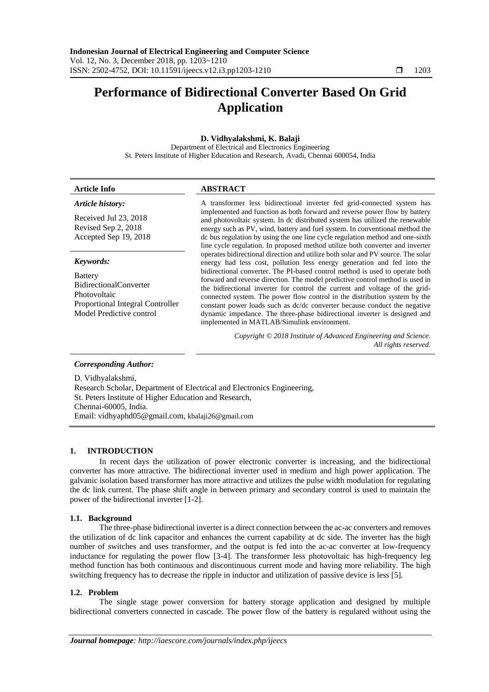# **Performance of Bidirectional Converter Based On Grid Application**

# **D. Vidhyalakshmi, K. Balaji**

Department of Electrical and Electronics Engineering St. Peters Institute of Higher Education and Research, Avadi, Chennai 600054, India

| <b>Article Info</b>                                                                                                                          | <b>ABSTRACT</b>                                                                                                                                                                                                                                                                                                                                                                                                                                                                                                                                                                                                                                                                                                                                                                                                                                                                                                                                                                                                                                                                                                                                                                               |
|----------------------------------------------------------------------------------------------------------------------------------------------|-----------------------------------------------------------------------------------------------------------------------------------------------------------------------------------------------------------------------------------------------------------------------------------------------------------------------------------------------------------------------------------------------------------------------------------------------------------------------------------------------------------------------------------------------------------------------------------------------------------------------------------------------------------------------------------------------------------------------------------------------------------------------------------------------------------------------------------------------------------------------------------------------------------------------------------------------------------------------------------------------------------------------------------------------------------------------------------------------------------------------------------------------------------------------------------------------|
| Article history:<br>Received Jul 23, 2018<br>Revised Sep 2, 2018<br>Accepted Sep 19, 2018                                                    | A transformer less bidirectional inverter fed grid-connected system has<br>implemented and function as both forward and reverse power flow by battery<br>and photovoltaic system. In dc distributed system has utilized the renewable<br>energy such as PV, wind, battery and fuel system. In conventional method the<br>dc bus regulation by using the one line cycle regulation method and one-sixth<br>line cycle regulation. In proposed method utilize both converter and inverter<br>operates bidirectional direction and utilize both solar and PV source. The solar<br>energy had less cost, pollution less energy generation and fed into the<br>bidirectional converter. The PI-based control method is used to operate both<br>forward and reverse direction. The model predictive control method is used in<br>the bidirectional inverter for control the current and voltage of the grid-<br>connected system. The power flow control in the distribution system by the<br>constant power loads such as dc/dc converter because conduct the negative<br>dynamic impedance. The three-phase bidirectional inverter is designed and<br>implemented in MATLAB/Simulink environment. |
| Keywords:<br><b>Battery</b><br><b>BidirectionalConverter</b><br>Photovoltaic<br>Proportional Integral Controller<br>Model Predictive control |                                                                                                                                                                                                                                                                                                                                                                                                                                                                                                                                                                                                                                                                                                                                                                                                                                                                                                                                                                                                                                                                                                                                                                                               |
|                                                                                                                                              | Copyright © 2018 Institute of Advanced Engineering and Science.<br>All rights reserved.                                                                                                                                                                                                                                                                                                                                                                                                                                                                                                                                                                                                                                                                                                                                                                                                                                                                                                                                                                                                                                                                                                       |
| <b>Corresponding Author:</b>                                                                                                                 |                                                                                                                                                                                                                                                                                                                                                                                                                                                                                                                                                                                                                                                                                                                                                                                                                                                                                                                                                                                                                                                                                                                                                                                               |

D. Vidhyalakshmi, Research Scholar, Department of Electrical and Electronics Engineering, St. Peters Institute of Higher Education and Research, Chennai-60005, India. Email: vidhyaphd05@gmail.com, kbalaji26@gmail.com

## **1. INTRODUCTION**

In recent days the utilization of power electronic converter is increasing, and the bidirectional converter has more attractive. The bidirectional inverter used in medium and high power application. The galvanic isolation based transformer has more attractive and utilizes the pulse width modulation for regulating the dc link current. The phase shift angle in between primary and secondary control is used to maintain the power of the bidirectional inverter [1-2].

## **1.1. Background**

The three-phase bidirectional inverter is a direct connection between the ac-ac converters and removes the utilization of dc link capacitor and enhances the current capability at dc side. The inverter has the high number of switches and uses transformer, and the output is fed into the ac-ac converter at low-frequency inductance for regulating the power flow [3-4]. The transformer less photovoltaic has high-frequency leg method function has both continuous and discontinuous current mode and having more reliability. The high switching frequency has to decrease the ripple in inductor and utilization of passive device is less [5].

## **1.2. Problem**

The single stage power conversion for battery storage application and designed by multiple bidirectional converters connected in cascade. The power flow of the battery is regulated without using the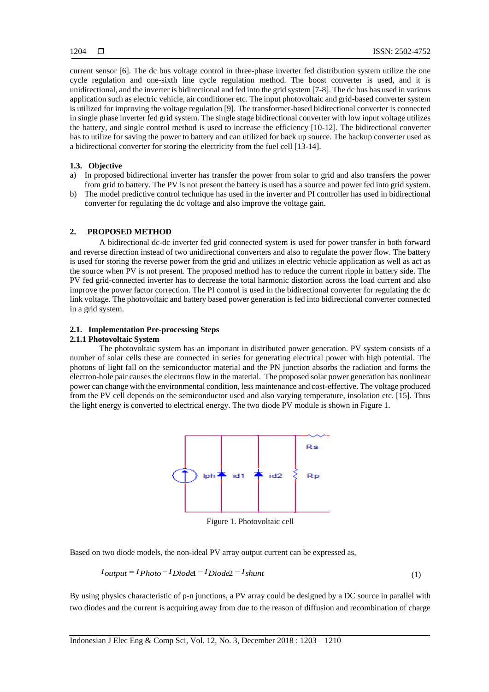current sensor [6]. The dc bus voltage control in three-phase inverter fed distribution system utilize the one cycle regulation and one-sixth line cycle regulation method. The boost converter is used, and it is unidirectional, and the inverter is bidirectional and fed into the grid system [7-8]. The dc bus has used in various application such as electric vehicle, air conditioner etc. The input photovoltaic and grid-based converter system is utilized for improving the voltage regulation [9]. The transformer-based bidirectional converter is connected in single phase inverter fed grid system. The single stage bidirectional converter with low input voltage utilizes the battery, and single control method is used to increase the efficiency [10-12]. The bidirectional converter has to utilize for saving the power to battery and can utilized for back up source. The backup converter used as a bidirectional converter for storing the electricity from the fuel cell [13-14].

#### **1.3. Objective**

- a) In proposed bidirectional inverter has transfer the power from solar to grid and also transfers the power from grid to battery. The PV is not present the battery is used has a source and power fed into grid system.
- b) The model predictive control technique has used in the inverter and PI controller has used in bidirectional converter for regulating the dc voltage and also improve the voltage gain.

## **2. PROPOSED METHOD**

A bidirectional dc-dc inverter fed grid connected system is used for power transfer in both forward and reverse direction instead of two unidirectional converters and also to regulate the power flow. The battery is used for storing the reverse power from the grid and utilizes in electric vehicle application as well as act as the source when PV is not present. The proposed method has to reduce the current ripple in battery side. The PV fed grid-connected inverter has to decrease the total harmonic distortion across the load current and also improve the power factor correction. The PI control is used in the bidirectional converter for regulating the dc link voltage. The photovoltaic and battery based power generation is fed into bidirectional converter connected in a grid system.

## **2.1. Implementation Pre-processing Steps**

## **2.1.1 Photovoltaic System**

The photovoltaic system has an important in distributed power generation. PV system consists of a number of solar cells these are connected in series for generating electrical power with high potential. The photons of light fall on the semiconductor material and the PN junction absorbs the radiation and forms the electron-hole pair causes the electrons flow in the material. The proposed solar power generation has nonlinear power can change with the environmental condition, less maintenance and cost-effective. The voltage produced from the PV cell depends on the semiconductor used and also varying temperature, insolation etc. [15]. Thus the light energy is converted to electrical energy. The two diode PV module is shown in Figure 1.



Figure 1. Photovoltaic cell

Based on two diode models, the non-ideal PV array output current can be expressed as,

$$
I_{output} = I_{Photo} - I_{Diodel} - I_{Diodel} - I_{shunt}
$$
\n
$$
\tag{1}
$$

By using physics characteristic of p-n junctions, a PV array could be designed by a DC source in parallel with two diodes and the current is acquiring away from due to the reason of diffusion and recombination of charge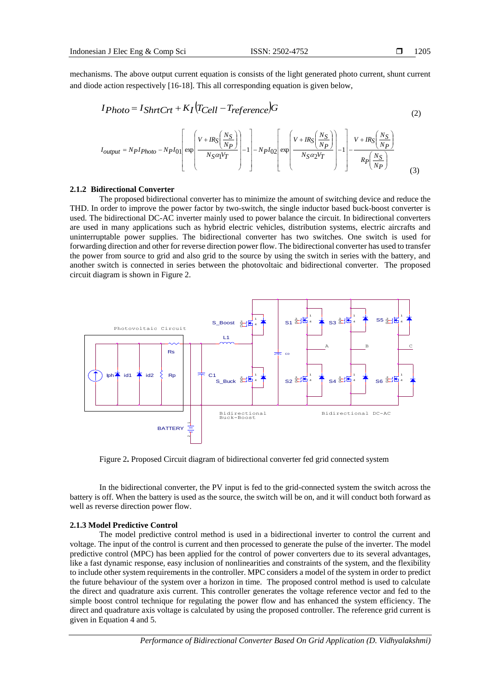mechanisms. The above output current equation is consists of the light generated photo current, shunt current and diode action respectively [16-18]. This all corresponding equation is given below,

$$
I_{Photo} = I_{ShrtCrt} + K_I (T_{Cell} - T_{reference})G
$$
\n
$$
\begin{bmatrix} v_{HRS} \left( \frac{N_S}{N} \right) & \left[ v_{HRS} \left( \frac{N_S}{N} \right) \right] & v_{HRS} \left( \frac{N_S}{N} \right) \end{bmatrix}
$$
\n
$$
(2)
$$

$$
I_{output} = N_{P}I_{Photo} - N_{P}I_{01} \left[ \exp\left(\frac{V + IR_{S} \left(\frac{V}{N_{P}}\right)}{N_{S} \alpha_{1} V_{T}}\right) - 1\right] - N_{P}I_{02} \left[ \exp\left(\frac{V + IR_{S} \left(\frac{V}{N_{P}}\right)}{N_{S} \alpha_{2} V_{T}}\right) - 1\right] - \frac{V + IR_{S} \left(\frac{V}{N_{P}}\right)}{R_{P} \left(\frac{N_{S}}{N_{P}}\right)} \tag{3}
$$

#### **2.1.2 Bidirectional Converter**

The proposed bidirectional converter has to minimize the amount of switching device and reduce the THD. In order to improve the power factor by two-switch, the single inductor based buck-boost converter is used. The bidirectional DC-AC inverter mainly used to power balance the circuit. In bidirectional converters are used in many applications such as hybrid electric vehicles, distribution systems, electric aircrafts and uninterruptable power supplies. The bidirectional converter has two switches. One switch is used for forwarding direction and other for reverse direction power flow. The bidirectional converter has used to transfer the power from source to grid and also grid to the source by using the switch in series with the battery, and another switch is connected in series between the photovoltaic and bidirectional converter. The proposed circuit diagram is shown in Figure 2.



Figure 2**.** Proposed Circuit diagram of bidirectional converter fed grid connected system

In the bidirectional converter, the PV input is fed to the grid-connected system the switch across the battery is off. When the battery is used as the source, the switch will be on, and it will conduct both forward as well as reverse direction power flow.

#### **2.1.3 Model Predictive Control**

The model predictive control method is used in a bidirectional inverter to control the current and voltage. The input of the control is current and then processed to generate the pulse of the inverter. The model predictive control (MPC) has been applied for the control of power converters due to its several advantages, like a fast dynamic response, easy inclusion of nonlinearities and constraints of the system, and the flexibility to include other system requirements in the controller. MPC considers a model of the system in order to predict the future behaviour of the system over a horizon in time. The proposed control method is used to calculate the direct and quadrature axis current. This controller generates the voltage reference vector and fed to the simple boost control technique for regulating the power flow and has enhanced the system efficiency. The direct and quadrature axis voltage is calculated by using the proposed controller. The reference grid current is given in Equation 4 and 5.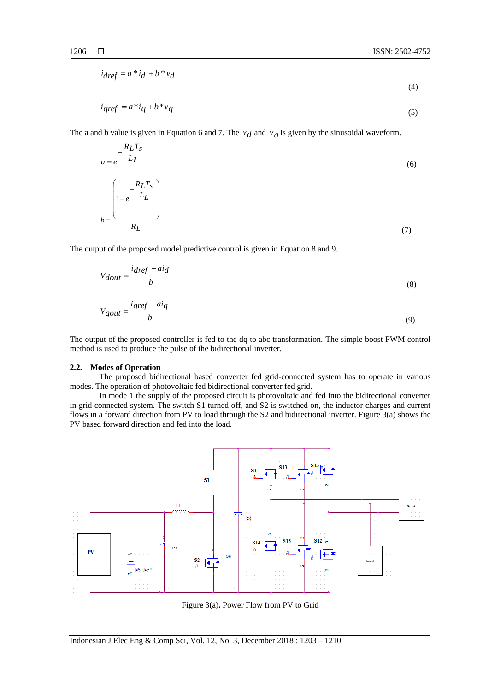(4)

$$
i_{\text{dref}} = a * i_{\text{d}} + b * v_{\text{d}}
$$

$$
i_{qref} = a^* i_q + b^* v_q \tag{5}
$$

The a and b value is given in Equation 6 and 7. The  $v_d$  and  $v_q$  is given by the sinusoidal waveform.

$$
a = e^{-\frac{R_L T_s}{L_L}}
$$
\n
$$
b = \frac{\left(1 - e^{-\frac{R_L T_s}{L_L}}\right)}{R_L}
$$
\n(7)

The output of the proposed model predictive control is given in Equation 8 and 9.

$$
V_{dout} = \frac{i_{dref} - ai_d}{b} \tag{8}
$$

$$
V_{qout} = \frac{i_{qref} - ai_q}{b} \tag{9}
$$

The output of the proposed controller is fed to the dq to abc transformation. The simple boost PWM control method is used to produce the pulse of the bidirectional inverter.

#### **2.2. Modes of Operation**

The proposed bidirectional based converter fed grid-connected system has to operate in various modes. The operation of photovoltaic fed bidirectional converter fed grid.

In mode 1 the supply of the proposed circuit is photovoltaic and fed into the bidirectional converter in grid connected system. The switch S1 turned off, and S2 is switched on, the inductor charges and current flows in a forward direction from PV to load through the S2 and bidirectional inverter. Figure 3(a) shows the PV based forward direction and fed into the load.



Figure 3(a)**.** Power Flow from PV to Grid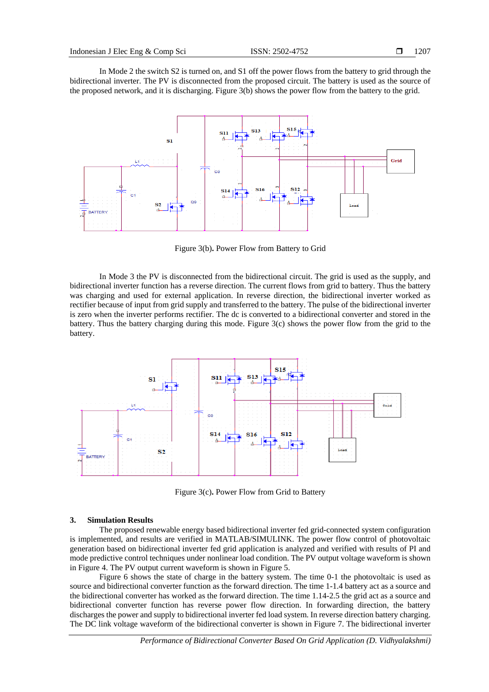In Mode 2 the switch S2 is turned on, and S1 off the power flows from the battery to grid through the bidirectional inverter. The PV is disconnected from the proposed circuit. The battery is used as the source of the proposed network, and it is discharging. Figure 3(b) shows the power flow from the battery to the grid.



Figure 3(b)**.** Power Flow from Battery to Grid

In Mode 3 the PV is disconnected from the bidirectional circuit. The grid is used as the supply, and bidirectional inverter function has a reverse direction. The current flows from grid to battery. Thus the battery was charging and used for external application. In reverse direction, the bidirectional inverter worked as rectifier because of input from grid supply and transferred to the battery. The pulse of the bidirectional inverter is zero when the inverter performs rectifier. The dc is converted to a bidirectional converter and stored in the battery. Thus the battery charging during this mode. Figure 3(c) shows the power flow from the grid to the battery.



Figure 3(c)**.** Power Flow from Grid to Battery

#### **3. Simulation Results**

The proposed renewable energy based bidirectional inverter fed grid-connected system configuration is implemented, and results are verified in MATLAB/SIMULINK. The power flow control of photovoltaic generation based on bidirectional inverter fed grid application is analyzed and verified with results of PI and mode predictive control techniques under nonlinear load condition. The PV output voltage waveform is shown in Figure 4. The PV output current waveform is shown in Figure 5.

Figure 6 shows the state of charge in the battery system. The time 0-1 the photovoltaic is used as source and bidirectional converter function as the forward direction. The time 1-1.4 battery act as a source and the bidirectional converter has worked as the forward direction. The time 1.14-2.5 the grid act as a source and bidirectional converter function has reverse power flow direction. In forwarding direction, the battery discharges the power and supply to bidirectional inverter fed load system. In reverse direction battery charging. The DC link voltage waveform of the bidirectional converter is shown in Figure 7. The bidirectional inverter

*Performance of Bidirectional Converter Based On Grid Application (D. Vidhyalakshmi)*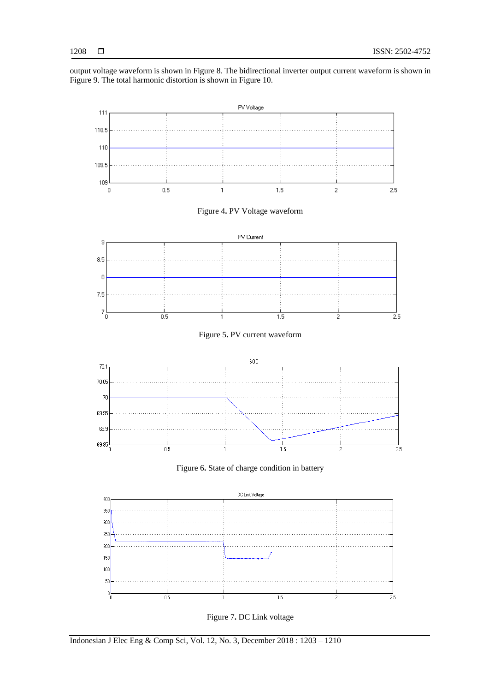output voltage waveform is shown in Figure 8. The bidirectional inverter output current waveform is shown in Figure 9. The total harmonic distortion is shown in Figure 10.



Figure 7**.** DC Link voltage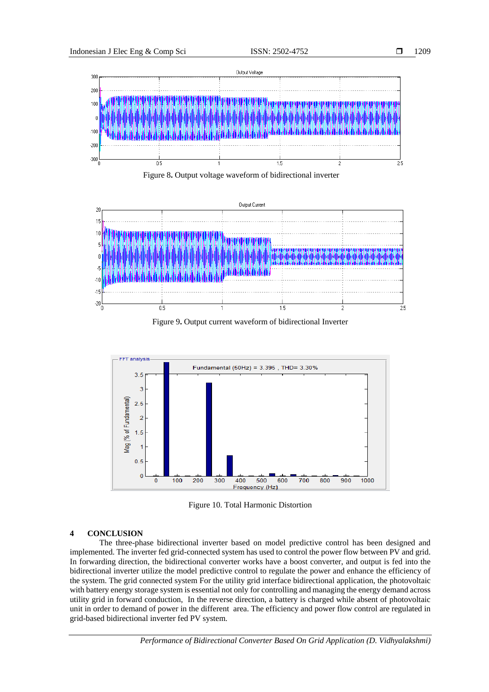

Figure 8**.** Output voltage waveform of bidirectional inverter



Figure 9**.** Output current waveform of bidirectional Inverter



Figure 10. Total Harmonic Distortion

# **4 CONCLUSION**

The three-phase bidirectional inverter based on model predictive control has been designed and implemented. The inverter fed grid-connected system has used to control the power flow between PV and grid. In forwarding direction, the bidirectional converter works have a boost converter, and output is fed into the bidirectional inverter utilize the model predictive control to regulate the power and enhance the efficiency of the system. The grid connected system For the utility grid interface bidirectional application, the photovoltaic with battery energy storage system is essential not only for controlling and managing the energy demand across utility grid in forward conduction, In the reverse direction, a battery is charged while absent of photovoltaic unit in order to demand of power in the different area. The efficiency and power flow control are regulated in grid-based bidirectional inverter fed PV system.